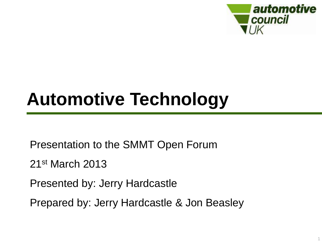

## **Automotive Technology**

Presentation to the SMMT Open Forum

21st March 2013

Presented by: Jerry Hardcastle

Prepared by: Jerry Hardcastle & Jon Beasley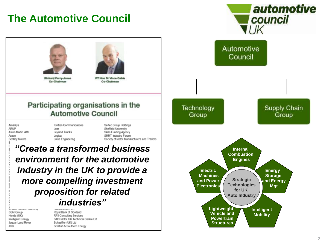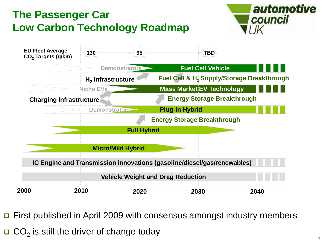### **The Passenger Car Low Carbon Technology Roadmap**





First published in April 2009 with consensus amongst industry members

 $\Box$  CO<sub>2</sub> is still the driver of change today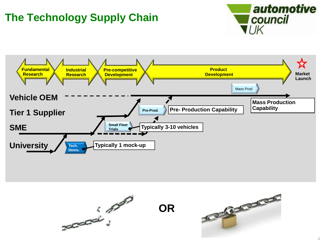## **The Technology Supply Chain**





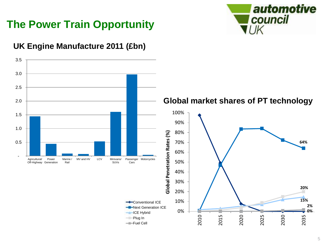

### **The Power Train Opportunity**

#### **UK Engine Manufacture 2011 (£bn)**

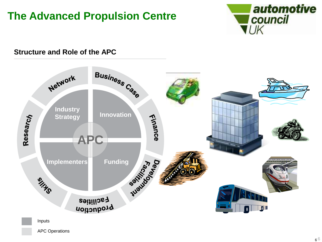### **The Advanced Propulsion Centre**



#### **Structure and Role of the APC**